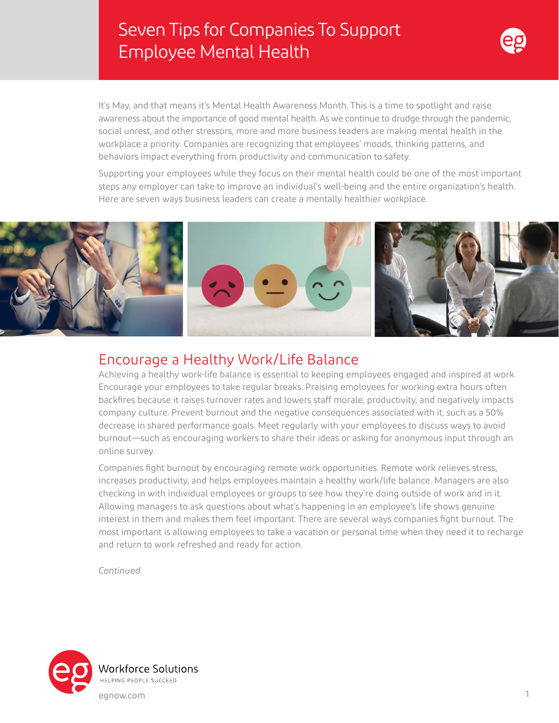# Seven Tips for Companies To Support Employee Mental Health



It's May, and that means it's Mental Health Awareness Month. This is a time to spotlight and raise awareness about the importance of good mental health. As we continue to drudge through the pandemic, social unrest, and other stressors, more and more business leaders are making mental health in the workplace a priority. Companies are recognizing that employees' moods, thinking patterns, and behaviors impact everything from productivity and communication to safety.

Supporting your employees while they focus on their mental health could be one of the most important steps any employer can take to improve an individual's well-being and the entire organization's health. Here are seven ways business leaders can create a mentally healthier workplace.



#### Encourage a Healthy Work/Life Balance

Achieving a healthy work-life balance is essential to keeping employees engaged and inspired at work. Encourage your employees to take regular breaks. Praising employees for working extra hours often backfires because it raises turnover rates and lowers staff morale, productivity, and negatively impacts company culture. Prevent burnout and the negative consequences associated with it, such as a 50% decrease in shared performance goals. Meet regularly with your employees to discuss ways to avoid burnout—such as encouraging workers to share their ideas or asking for anonymous input through an online survey.

Companies fight burnout by encouraging remote work opportunities. Remote work relieves stress, increases productivity, and helps employees maintain a healthy work/life balance. Managers are also checking in with individual employees or groups to see how they're doing outside of work and in it. Allowing managers to ask questions about what's happening in an employee's life shows genuine interest in them and makes them feel important. There are several ways companies fight burnout. The most important is allowing employees to take a vacation or personal time when they need it to recharge and return to work refreshed and ready for action.

*Continued*

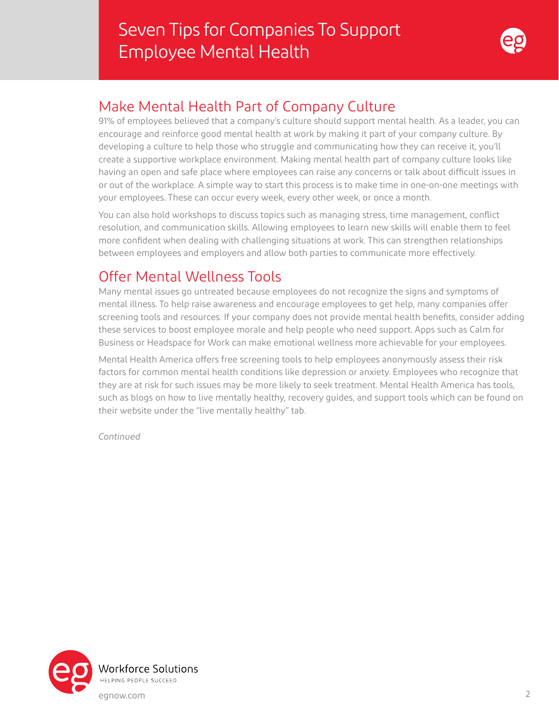

#### Make Mental Health Part of Company Culture

91% of employees believed that a company's culture should support mental health. As a leader, you can encourage and reinforce good mental health at work by making it part of your company culture. By developing a culture to help those who struggle and communicating how they can receive it, you'll create a supportive workplace environment. Making mental health part of company culture looks like having an open and safe place where employees can raise any concerns or talk about difficult issues in or out of the workplace. A simple way to start this process is to make time in one-on-one meetings with your employees. These can occur every week, every other week, or once a month.

You can also hold workshops to discuss topics such as managing stress, time management, conflict resolution, and communication skills. Allowing employees to learn new skills will enable them to feel more confident when dealing with challenging situations at work. This can strengthen relationships between employees and employers and allow both parties to communicate more effectively.

### Offer Mental Wellness Tools

Many mental issues go untreated because employees do not recognize the signs and symptoms of mental illness. To help raise awareness and encourage employees to get help, many companies offer screening tools and resources. If your company does not provide mental health benefits, consider adding these services to boost employee morale and help people who need support. Apps such as Calm for Business or Headspace for Work can make emotional wellness more achievable for your employees.

Mental Health America offers free screening tools to help employees anonymously assess their risk factors for common mental health conditions like depression or anxiety. Employees who recognize that they are at risk for such issues may be more likely to seek treatment. Mental Health America has tools, such as blogs on how to live mentally healthy, recovery guides, and support tools which can be found on their website under the "live mentally healthy" tab.

*Continued*

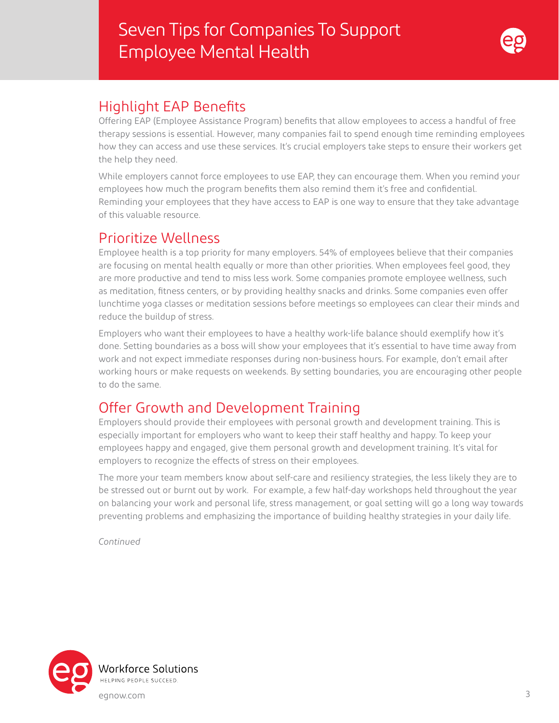## Seven Tips for Companies To Support Employee Mental Health



#### Highlight EAP Benefits

Offering EAP (Employee Assistance Program) benefits that allow employees to access a handful of free therapy sessions is essential. However, many companies fail to spend enough time reminding employees how they can access and use these services. It's crucial employers take steps to ensure their workers get the help they need.

While employers cannot force employees to use EAP, they can encourage them. When you remind your employees how much the program benefits them also remind them it's free and confidential. Reminding your employees that they have access to EAP is one way to ensure that they take advantage of this valuable resource.

#### Prioritize Wellness

Employee health is a top priority for many employers. 54% of employees believe that their companies are focusing on mental health equally or more than other priorities. When employees feel good, they are more productive and tend to miss less work. Some companies promote employee wellness, such as meditation, fitness centers, or by providing healthy snacks and drinks. Some companies even offer lunchtime yoga classes or meditation sessions before meetings so employees can clear their minds and reduce the buildup of stress.

Employers who want their employees to have a healthy work-life balance should exemplify how it's done. Setting boundaries as a boss will show your employees that it's essential to have time away from work and not expect immediate responses during non-business hours. For example, don't email after working hours or make requests on weekends. By setting boundaries, you are encouraging other people to do the same.

## Offer Growth and Development Training

Employers should provide their employees with personal growth and development training. This is especially important for employers who want to keep their staff healthy and happy. To keep your employees happy and engaged, give them personal growth and development training. It's vital for employers to recognize the effects of stress on their employees.

The more your team members know about self-care and resiliency strategies, the less likely they are to be stressed out or burnt out by work. For example, a few half-day workshops held throughout the year on balancing your work and personal life, stress management, or goal setting will go a long way towards preventing problems and emphasizing the importance of building healthy strategies in your daily life.

*Continued*